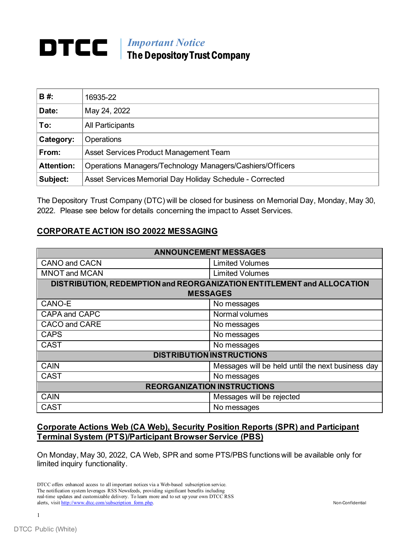## *Important Notice* The Depository Trust Company

| <b>B#</b>         | 16935-22                                                  |
|-------------------|-----------------------------------------------------------|
| Date:             | May 24, 2022                                              |
| To:               | All Participants                                          |
| Category:         | <b>Operations</b>                                         |
| From:             | Asset Services Product Management Team                    |
| <b>Attention:</b> | Operations Managers/Technology Managers/Cashiers/Officers |
| Subject:          | Asset Services Memorial Day Holiday Schedule - Corrected  |

The Depository Trust Company (DTC) will be closed for business on Memorial Day, Monday, May 30, 2022. Please see below for details concerning the impact to Asset Services.

## **CORPORATE ACTION ISO 20022 MESSAGING**

| <b>ANNOUNCEMENT MESSAGES</b>                                           |                                                   |  |  |
|------------------------------------------------------------------------|---------------------------------------------------|--|--|
| <b>CANO and CACN</b>                                                   | <b>Limited Volumes</b>                            |  |  |
| <b>MNOT and MCAN</b>                                                   | <b>Limited Volumes</b>                            |  |  |
| DISTRIBUTION, REDEMPTION and REORGANIZATION ENTITLEMENT and ALLOCATION |                                                   |  |  |
| <b>MESSAGES</b>                                                        |                                                   |  |  |
| CANO-E                                                                 | No messages                                       |  |  |
| <b>CAPA and CAPC</b>                                                   | Normal volumes                                    |  |  |
| <b>CACO and CARE</b>                                                   | No messages                                       |  |  |
| <b>CAPS</b>                                                            | No messages                                       |  |  |
| <b>CAST</b>                                                            | No messages                                       |  |  |
| <b>DISTRIBUTION INSTRUCTIONS</b>                                       |                                                   |  |  |
| <b>CAIN</b>                                                            | Messages will be held until the next business day |  |  |
| <b>CAST</b>                                                            | No messages                                       |  |  |
| <b>REORGANIZATION INSTRUCTIONS</b>                                     |                                                   |  |  |
| <b>CAIN</b>                                                            | Messages will be rejected                         |  |  |
| <b>CAST</b>                                                            | No messages                                       |  |  |

## **Corporate Actions Web (CA Web), Security Position Reports (SPR) and Participant Terminal System (PTS)/Participant Browser Service (PBS)**

On Monday, May 30, 2022, CA Web, SPR and some PTS/PBS functions will be available only for limited inquiry functionality.

DTCC offers enhanced access to all important notices via a Web-based subscription service. The notification system leverages RSS Newsfeeds, providing significant benefits including real-time updates and customizable delivery. To learn more and to set up your own DTCC RSS alerts, visi[t http://www.dtcc.com/subscription\\_form.php.](http://www.dtcc.com/subscription_form.php) Non-Confidential